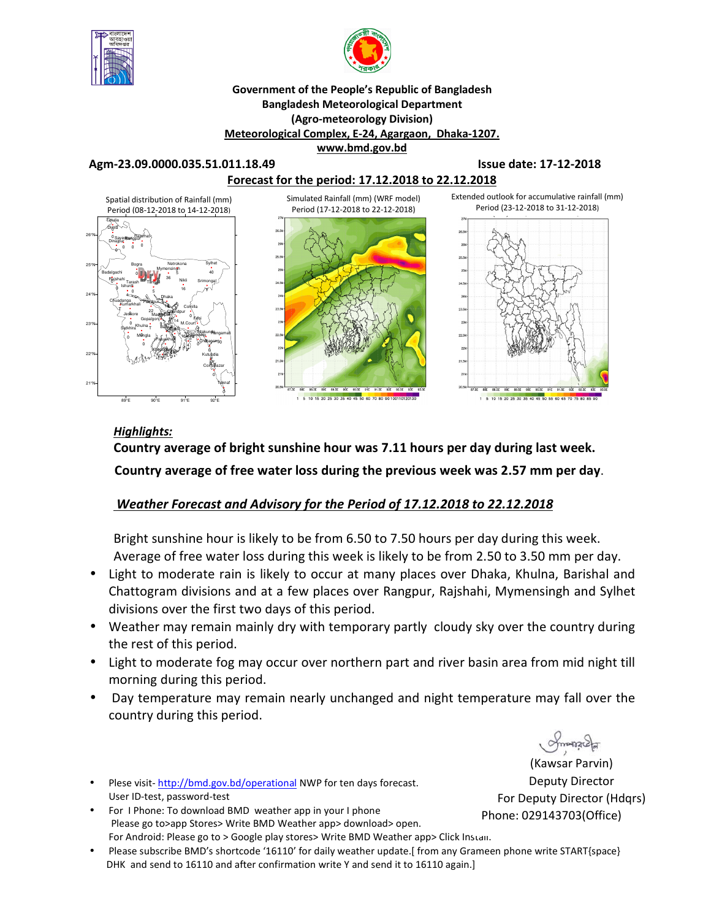



#### **Government of the People's Republic of Bangladesh Bangladesh Meteorological Department (Agro-meteorology Division) Meteorological Complex, E-24, Agargaon, Dhaka-1207. www.bmd.gov.bd**

#### **Agm-23.09.0000.035.51.011.18.49 Issue date: 17-12-2018**



#### *Highlights:*

**Country average of bright sunshine hour was 7.11 hours per day during last week. Country average of free water loss during the previous week was 2.57 mm per day**.

### *Weather Forecast and Advisory for the Period of 17.12.2018 to 22.12.2018*

Bright sunshine hour is likely to be from 6.50 to 7.50 hours per day during this week. Average of free water loss during this week is likely to be from 2.50 to 3.50 mm per day.

- Light to moderate rain is likely to occur at many places over Dhaka, Khulna, Barishal and Chattogram divisions and at a few places over Rangpur, Rajshahi, Mymensingh and Sylhet divisions over the first two days of this period.
- Weather may remain mainly dry with temporary partly cloudy sky over the country during the rest of this period.
- Light to moderate fog may occur over northern part and river basin area from mid night till morning during this period.
- Day temperature may remain nearly unchanged and night temperature may fall over the country during this period.
- Plese visit- http://bmd.gov.bd/operational NWP for ten days forecast. User ID-test, password-test
- For I Phone: To download BMD weather app in your I phone Please go to>app Stores> Write BMD Weather app> download> open. For Android: Please go to > Google play stores> Write BMD Weather app> Click Install.
- Please subscribe BMD's shortcode '16110' for daily weather update.[ from any Grameen phone write START{space} DHK and send to 16110 and after confirmation write Y and send it to 16110 again.]

(Kawsar Parvin) Deputy Director For Deputy Director (Hdqrs) Phone: 029143703(Office)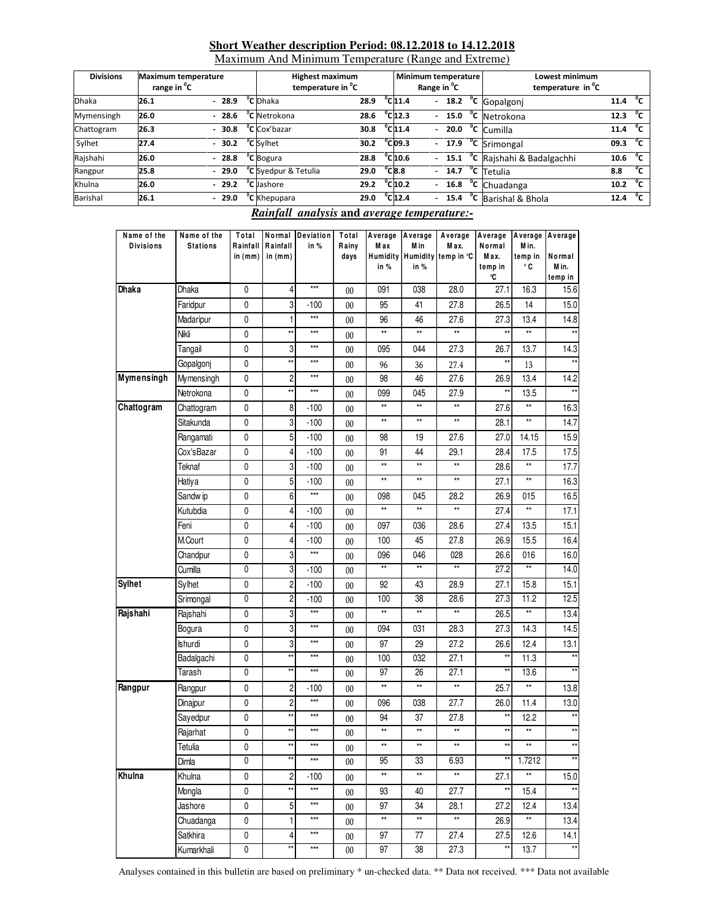#### **Short Weather description Period: 08.12.2018 to 14.12.2018**

Maximum And Minimum Temperature (Range and Extreme)

| <b>Divisions</b> | <b>Maximum temperature</b><br>range in <sup>o</sup> C |         | <b>Highest maximum</b><br>temperature in <sup>o</sup> C |      |                              | Minimum temperature<br>Range in <sup>o</sup> C |  | Lowest minimum<br>temperature in <sup>o</sup> C |      |              |
|------------------|-------------------------------------------------------|---------|---------------------------------------------------------|------|------------------------------|------------------------------------------------|--|-------------------------------------------------|------|--------------|
| <b>Dhaka</b>     | 26.1                                                  | $-28.9$ | <sup>o</sup> C Dhaka                                    | 28.9 | $^{\circ}$ C <sub>11.4</sub> | $\overline{a}$                                 |  | $\overline{18.2 \text{ °C}}$ Gopalgonj          | 11.4 | °с           |
| Mymensingh       | 26.0                                                  | 28.6    | <sup>o</sup> C Netrokona                                | 28.6 | $^{\circ}$ C 12.3            |                                                |  | $-$ 15.0 $^{\circ}$ C Netrokona                 | 12.3 | °c           |
| Chattogram       | 26.3                                                  | 30.8    | <sup>o</sup> C Cox'bazar                                | 30.8 | $^{\circ}$ C <sub>11.4</sub> |                                                |  | $-20.0$ $\degree$ C Cumilla                     | 11.4 | $^{\circ}$ c |
| Sylhet           | 27.4                                                  | 30.2    | <sup>o</sup> C Sylhet                                   | 30.2 | $^{\circ}$ Cl09.3            |                                                |  | $-$ 17.9 $^{\circ}$ C Srimongal                 | 09.3 | °c           |
| Rajshahi         | 26.0                                                  | $-28.8$ | <sup>o</sup> C Bogura                                   | 28.8 | $^{\circ}$ C <sub>10.6</sub> |                                                |  | - 15.1 °C Rajshahi & Badalgachhi                | 10.6 | $^0$ C       |
| Rangpur          | 25.8                                                  | $-29.0$ | $\overline{C}$ Syedpur & Tetulia                        | 29.0 | $^{\circ}$ C <sub>8.8</sub>  |                                                |  | $\overline{14.7}$ °C Tetulia                    | 8.8  | $^0$ C       |
| Khulna           | 26.0                                                  | $-29.2$ | <sup>o</sup> C Jashore                                  | 29.2 | $^{\circ}$ C <sub>10.2</sub> | $\mathcal{L}^{\pm}$                            |  | $\overline{16.8}$ °C Chuadanga                  | 10.2 | $^0$ C       |
| Barishal         | 26.1                                                  | $-29.0$ | <sup>o</sup> C Khepupara                                | 29.0 | $^{\circ}$ C <sub>12.4</sub> |                                                |  | 15.4 °C Barishal & Bhola                        | 12.4 | $^{\circ}$ c |

#### *Rainfall analysis* **and** *average temperature:-*

| Name of the<br><b>Divisions</b> | Name of the<br><b>Stations</b> | Total<br>Rainfall<br>in (mm) | Rainfall<br>in $(mm)$   | Normal Deviation<br>in $%$ | Total<br>Rainy<br>days | M ax<br>in % | M in<br>in % | Average Average   Average   Average<br>M ax.<br>Humidity Humidity temp in °C | Normal<br>M ax.<br>temp in<br>°C | Average Average<br>M in.<br>temp in<br>۰c | Normal<br>M in.<br>temp in |
|---------------------------------|--------------------------------|------------------------------|-------------------------|----------------------------|------------------------|--------------|--------------|------------------------------------------------------------------------------|----------------------------------|-------------------------------------------|----------------------------|
| <b>Dhaka</b>                    | Dhaka                          | 0                            | 4                       | $***$                      | $00\,$                 | 091          | 038          | 28.0                                                                         | 27.1                             | 16.3                                      | 15.6                       |
|                                 | Faridpur                       | 0                            | 3                       | $-100$                     | $00\,$                 | 95           | 41           | 27.8                                                                         | 26.5                             | 14                                        | 15.0                       |
|                                 | Madaripur                      | 0                            | 1                       | $***$                      | $00\,$                 | 96           | 46           | 27.6                                                                         | 27.3                             | 13.4                                      | 14.8                       |
|                                 | Nikli                          | 0                            | $\star\star$            | ***                        | $00\,$                 | **           | **           | **                                                                           |                                  | $\star\star$                              |                            |
|                                 | Tangail                        | 0                            | 3                       | $***$                      | $00\,$                 | 095          | 044          | 27.3                                                                         | 26.7                             | 13.7                                      | 14.3                       |
|                                 | Gopalgonj                      | 0                            | $\star\star$            | $***$                      | $00\,$                 | 96           | 36           | 27.4                                                                         | **                               | 13                                        | $\star\star$               |
| Mymensingh                      | Mymensingh                     | 0                            | $\overline{c}$          | $***$                      | $00\,$                 | 98           | 46           | 27.6                                                                         | 26.9                             | 13.4                                      | 14.2                       |
|                                 | Netrokona                      | 0                            | $\star\star$            | ***                        | 00                     | 099          | 045          | 27.9                                                                         | $\star\star$                     | 13.5                                      | $\star\star$               |
| Chattogram                      | Chattogram                     | 0                            | 8                       | $-100$                     | $00\,$                 | **           | $\star\star$ | $\star\star$                                                                 | 27.6                             | $\star\star$                              | 16.3                       |
|                                 | Sitakunda                      | 0                            | 3                       | $-100$                     | $00\,$                 | **           | $\star\star$ | $\star\star$                                                                 | 28.1                             | $\star\star$                              | 14.7                       |
|                                 | Rangamati                      | 0                            | 5                       | $-100$                     | $00\,$                 | 98           | 19           | 27.6                                                                         | 27.0                             | 14.15                                     | 15.9                       |
|                                 | Cox'sBazar                     | 0                            | 4                       | $-100$                     | $00\,$                 | 91           | 44           | 29.1                                                                         | 28.4                             | 17.5                                      | 17.5                       |
|                                 | Teknaf                         | 0                            | 3                       | $-100$                     | $00\,$                 | **           | $\star\star$ | **                                                                           | 28.6                             | $\star\star$                              | 17.7                       |
|                                 | Hatiya                         | 0                            | 5                       | $-100$                     | $00\,$                 | $\star\star$ | $\star\star$ | **                                                                           | 27.1                             | $^{\star\star}$                           | 16.3                       |
|                                 | Sandw ip                       | 0                            | 6                       | $\star\star\star$          | $00\,$                 | 098          | 045          | 28.2                                                                         | 26.9                             | 015                                       | 16.5                       |
|                                 | Kutubdia                       | 0                            | 4                       | $-100$                     | $00\,$                 | $\star\star$ | $\star\star$ | **                                                                           | 27.4                             | $^{\star\star}$                           | 17.1                       |
|                                 | Feni                           | 0                            | 4                       | $-100$                     | $00\,$                 | 097          | 036          | 28.6                                                                         | 27.4                             | 13.5                                      | 15.1                       |
|                                 | M.Court                        | 0                            | 4                       | $-100$                     | $00\,$                 | 100          | 45           | 27.8                                                                         | 26.9                             | 15.5                                      | 16.4                       |
|                                 | Chandpur                       | 0                            | 3                       | $***$                      | $00\,$                 | 096          | 046          | 028                                                                          | 26.6                             | 016                                       | 16.0                       |
|                                 | Cumilla                        | 0                            | 3                       | $-100$                     | $00\,$                 | **           | **           | **                                                                           | 27.2                             | $\star\star$                              | 14.0                       |
| <b>Sylhet</b>                   | Sylhet                         | 0                            | $\overline{\mathbf{c}}$ | $-100$                     | $00\,$                 | 92           | 43           | 28.9                                                                         | 27.1                             | 15.8                                      | 15.1                       |
|                                 | Srimongal                      | 0                            | $\overline{\mathbf{c}}$ | $-100$                     | $00\,$                 | 100          | 38           | 28.6                                                                         | 27.3                             | 11.2                                      | 12.5                       |
| Rajshahi                        | Rajshahi                       | 0                            | 3                       | $***$                      | $00\,$                 | $\star\star$ | $\star\star$ | $\star\star$                                                                 | 26.5                             | $^{\star\star}$                           | 13.4                       |
|                                 | Bogura                         | 0                            | 3                       | $***$                      | $00\,$                 | 094          | 031          | 28.3                                                                         | 27.3                             | 14.3                                      | 14.5                       |
|                                 | Ishurdi                        | 0                            | 3                       | $***$                      | $00\,$                 | 97           | 29           | 27.2                                                                         | 26.6                             | 12.4                                      | 13.1                       |
|                                 | Badalgachi                     | 0                            | $\star\star$            | $***$                      | 00                     | 100          | 032          | 27.1                                                                         | $\star\star$                     | 11.3                                      |                            |
|                                 | Tarash                         | 0                            | $\star\star$            | $***$                      | 00                     | 97           | 26           | 27.1                                                                         | **                               | 13.6                                      |                            |
| Rangpur                         | Rangpur                        | 0                            | $\overline{\mathbf{c}}$ | $-100$                     | $00\,$                 | $\star\star$ | $\star\star$ | $\star\star$                                                                 | 25.7                             | $^{\star\star}$                           | 13.8                       |
|                                 | Dinajpur                       | 0                            | $\overline{\mathbf{c}}$ | $***$                      | $00\,$                 | 096          | 038          | 27.7                                                                         | 26.0                             | 11.4                                      | 13.0                       |
|                                 | Sayedpur                       | 0                            | $\star\star$            | ***                        | $00\,$                 | 94           | 37           | 27.8                                                                         | $^{\star\star}$                  | 12.2                                      | $***$                      |
|                                 | Rajarhat                       | 0                            | $\star\star$            | ***                        | 00                     | **           | $\star\star$ | **                                                                           | **                               | $\star\star$                              | $\star\star$               |
|                                 | Tetulia                        | 0                            | $\star\star$            | $***$                      | $00\,$                 | **           | $\star\star$ | **                                                                           | **                               | $\star\star$                              | $\star\star$               |
|                                 | Dimla                          | 0                            | $\star\star$            | $***$                      | $00\,$                 | 95           | 33           | 6.93                                                                         | $^{\star\star}$                  | 1.7212                                    | $\star\star$               |
| Khulna                          | Khulna                         | $\pmb{0}$                    | $\overline{\mathbf{c}}$ | $-100$                     | $00\,$                 | **           | $\star\star$ | **                                                                           | 27.1                             | $\star\star$                              | 15.0                       |
|                                 | Mongla                         | $\pmb{0}$                    | $\star\star$            | $\star\star\star$          | $00\,$                 | 93           | 40           | 27.7                                                                         | $\star\star$                     | 15.4                                      | $^{\star\star}$            |
|                                 | Jashore                        | 0                            | 5                       | $***$                      | 00                     | 97           | 34           | 28.1                                                                         | 27.2                             | 12.4                                      | 13.4                       |
|                                 | Chuadanga                      | $\pmb{0}$                    | $\mathbf{1}$            | $***$                      | $00\,$                 | $\star\star$ | $\star\star$ | **                                                                           | 26.9                             | $^{\star\star}$                           | 13.4                       |
|                                 | Satkhira                       | $\pmb{0}$                    | 4                       | $***$                      | $00\,$                 | 97           | 77           | 27.4                                                                         | 27.5                             | 12.6                                      | 14.1                       |
|                                 | Kumarkhali                     | $\pmb{0}$                    | **                      | $***$                      | $00\,$                 | 97           | 38           | 27.3                                                                         | **                               | 13.7                                      | $\star\star$               |

Analyses contained in this bulletin are based on preliminary \* un-checked data. \*\* Data not received. \*\*\* Data not available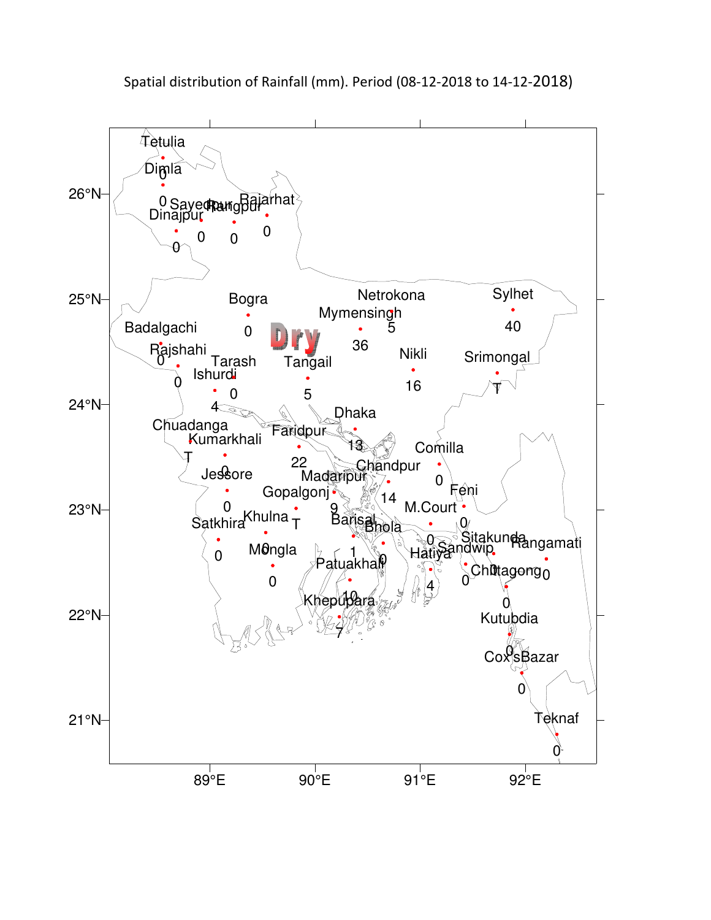

Spatial distribution of Rainfall (mm). Period (08-12-2018 to 14-12-2018)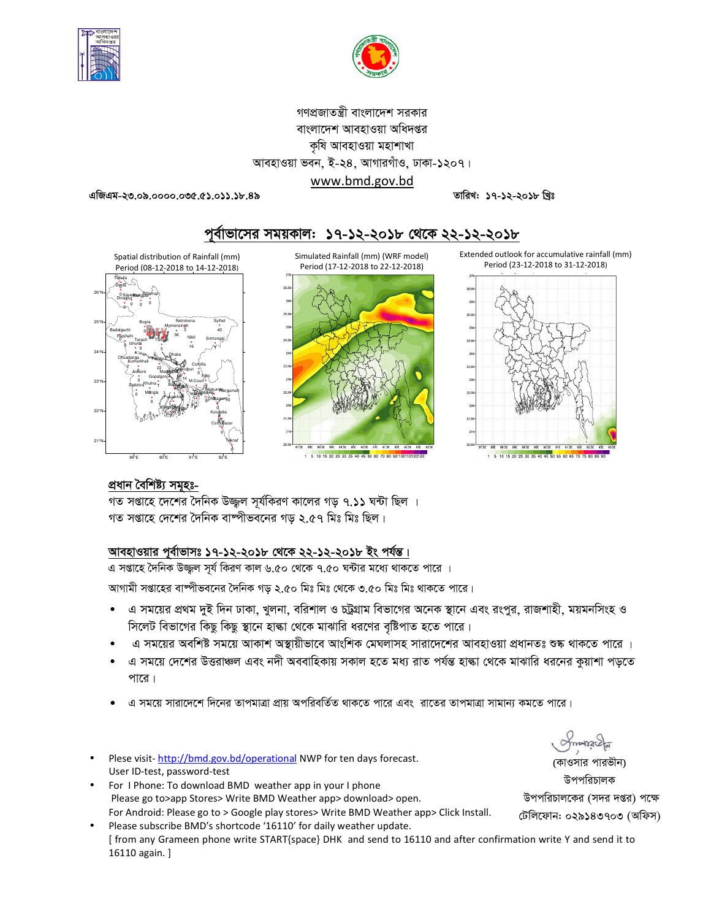



# গণপ্রজাতন্ত্রী বাংলাদেশ সরকার বাংলাদেশ আবহাওয়া অধিদপ্তর কৃষি আবহাওয়া মহাশাখা আবহাওয়া ভবন, ই-২৪, আগারগাঁও, ঢাকা-১২০৭। www.bmd.gov.bd

তারিখ: ১৭-১২-২০১৮ খিঃ

এজিএম-২৩.০৯.০০০০.০৩৫.৫১.০১১.১৮.৪৯



# পূর্বাভাসের সময়কাল: ১৭-১২-২০১৮ থেকে ২২-১২-২০১৮

Extended outlook for accumulative rainfall (mm) Period (23-12-2018 to 31-12-2018)





# প্ৰধান বৈশিষ্ট্য সমূহঃ-

গত সপ্তাহে দেশের দৈনিক বাষ্পীভবনের গড ২.৫৭ মিঃ মিঃ ছিল।

# আবহাওয়ার পূর্বাভাসঃ ১৭-১২-২০১৮ থেকে ২২-১২-২০১৮ ইং পর্যন্ত।

এ সপ্তাহে দৈনিক উজ্জল সূর্য কিরণ কাল ৬.৫০ থেকে ৭.৫০ ঘন্টার মধ্যে থাকতে পারে ।

আগামী সপ্তাহের বাম্পীভবনের দৈনিক গড় ২.৫০ মিঃ মিঃ থেকে ৩.৫০ মিঃ মিঃ থাকতে পারে।

এ সময়ের প্রথম দুই দিন ঢাকা, খুলনা, বরিশাল ও চট্ট্রগ্রাম বিভাগের অনেক স্থানে এবং রংপুর, রাজশাহী, ময়মনসিংহ ও  $\bullet$ সিলেট বিভাগের কিছু কিছু স্থানে হাঙ্কা থেকে মাঝারি ধরণের বৃষ্টিপাত হতে পারে।

5 10 15 20 25 30 35 40 45 50 60 70 80 9

- এ সময়ের অবশিষ্ট সময়ে আকাশ অস্থায়ীভাবে আংশিক মেঘলাসহ সারাদেশের আবহাওয়া প্রধানতঃ শুষ্ক থাকতে পারে ।
- এ সময়ে দেশের উত্তরাঞ্চল এবং নদী অববাহিকায় সকাল হতে মধ্য রাত পর্যন্ত হাল্কা থেকে মাঝারি ধরনের কুয়াশা পড়তে পারে।
- এ সময়ে সারাদেশে দিনের তাপমাত্রা প্রায় অপরিবর্তিত থাকতে পারে এবং রাতের তাপমাত্রা সামান্য কমতে পারে।
- Plese visit-http://bmd.gov.bd/operational NWP for ten days forecast. User ID-test, password-test
- For I Phone: To download BMD weather app in your I phone Please go to>app Stores> Write BMD Weather app> download> open. For Android: Please go to > Google play stores> Write BMD Weather app> Click Install.
- Please subscribe BMD's shortcode '16110' for daily weather update. [from any Grameen phone write START{space} DHK and send to 16110 and after confirmation write Y and send it to 16110 again.]

(কাওসার পারভীন) উপপরিচালক উপপরিচালকের (সদর দপ্তর) পক্ষে টেলিফোন: ০২৯১৪৩৭০৩ (অফিস)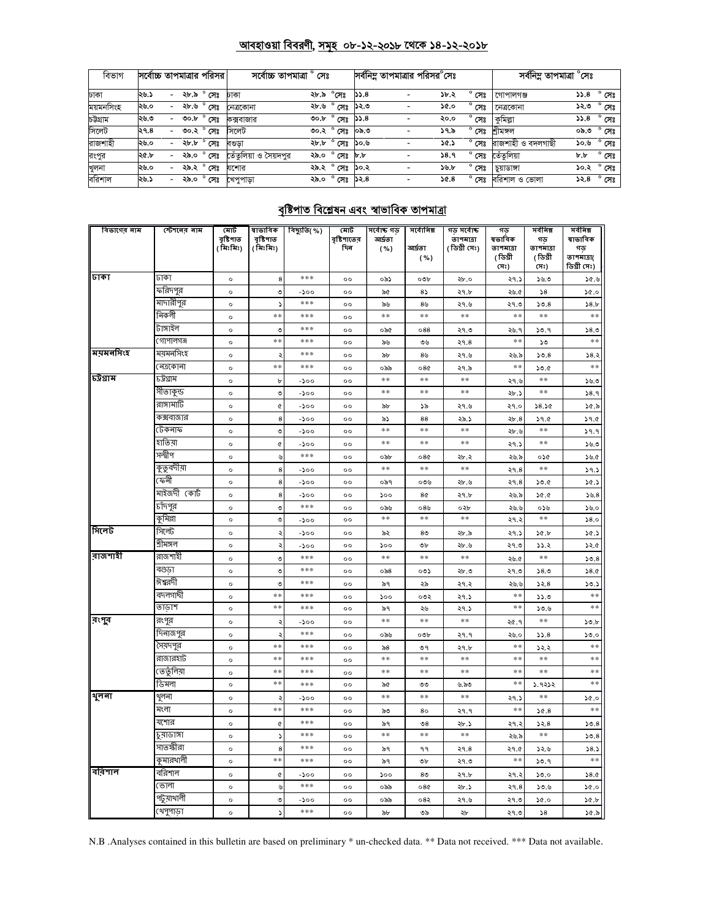# <u> আবহাওয়া বিবরণী, সমূহ ০৮-১২-২০১৮ থেকে ১৪-১২-২০১৮</u>

| বিভাগ     |      | সর্বোচ্চ তাপমাত্রার পরিসর |      |                | সৰ্বোচ্চ তাপমাত্ৰা '<br>সেঃ |      | সর্বনিম্ন তাপমাত্রার পরিসর <sup>০</sup> সেঃ |      |  |      | সৰ্বনিম্ন তাপমাত্ৰা °সেঃ |                   |      |                   |
|-----------|------|---------------------------|------|----------------|-----------------------------|------|---------------------------------------------|------|--|------|--------------------------|-------------------|------|-------------------|
| ঢাকা      | ২৬.১ | $\overline{\phantom{0}}$  |      | ২৮.৯ ° সেঃ     | ঢাকা                        | ২৮.৯ | °সেঃ                                        | 55.8 |  | ১৮.২ | $^{\circ}$ সেঃ           | গোপালগঞ্জ         |      | $35.8\degree$ সেঃ |
| ময়মনসিংহ | ২৬.০ |                           | ২৮.৬ | $^{\circ}$ সেঃ | নেত্ৰকোনা                   | ২৮.৬ | $^{\circ}$ সেঃ                              | ১২.৩ |  | ১৫.০ | $^{\circ}$ সেঃ           | নেত্ৰকোনা         | ১২.৩ | $^{\circ}$ সেঃ    |
| চউগ্ৰাম   | ২৬.৩ | $\overline{\phantom{0}}$  | 00.b | $^{\circ}$ সেঃ | কক্সবাজার                   | ৩০.৮ | $^{\circ}$ সেঃ                              | 55.8 |  | ২০.০ | $^{\circ}$ সেঃ           | কুমিল্লা          | 8.44 | $^{\circ}$ সেঃ    |
| সিলেট     | ২৭.৪ |                           | ৩০.২ | $^{\circ}$ সেঃ | সিলেট                       | ৩০.২ | ° সেঃ                                       | ০৯.৩ |  | ১৭৯  | $^{\circ}$ সেঃ           | শীমসল             | ০৯.৩ | $^{\circ}$ সেঃ    |
| রাজশাহী   | ২৬.০ | $\sim$                    | ২৮.৮ | $^{\circ}$ সেঃ | বণ্ডডা                      |      | $\overline{36}$ .৮ $\degree$ সেঃ            | ১০.৬ |  | ১৫.১ | $^{\circ}$ সেঃ           | রাজশাহী ও বদলগাছী | ১০.৬ | $^{\circ}$ সেঃ    |
| রংপুর     | ২৫.৮ |                           | ২৯.০ | $^{\circ}$ সেঃ | তেঁতলিয়া ও সৈয়দপুর        | ২৯.০ | ° সেঃ                                       | b.b  |  | 38.9 | $^{\circ}$ সেঃ           | তেঁতলিয়া         | b,b  | $^{\circ}$ সেঃ    |
| খুলনা     | ২৬.০ | $\overline{\phantom{0}}$  |      | ২৯.২ ° সেঃ     | যশোর                        |      | ২৯.২ ° সেঃ                                  | ১০.২ |  | ১৬.৮ | $^{\circ}$ সেঃ           | চয়াডাঙ্গা        | ১০.২ | $^{\circ}$ সেঃ    |
| বরিশাল    | ২৬.১ | $\overline{\phantom{0}}$  | ২৯.০ | $^{\circ}$ সেঃ | খেপুপাড়া                   |      | ২৯.০ ° সেঃ                                  | ১২.৪ |  | ১৫.৪ | $^{\circ}$ সেঃ           | বরিশাল ও ভোলা     | ১২.৪ | $^{\circ}$ সেঃ    |

# <u>বৃষ্টিপাত বিশ্লেষন এবং স্বাভাবিক তাপমাত্রা</u>

| বিভাগের নাম | স্টেশনের নাম | মোট                   | ষাভাবিক<br>বৃষ্টিপাত | বিছ্যুতি(%) | মোট                | সৰ্বোচ্চ গড      | সর্বোনিম্ন            | গড় সৰ্বোচ্চ              | গড<br>ষভাবিক | সৰ্বনিম্ন       | সর্বনিম্ন<br>ষাভাবিক |
|-------------|--------------|-----------------------|----------------------|-------------|--------------------|------------------|-----------------------|---------------------------|--------------|-----------------|----------------------|
|             |              | বৃষ্টিপাত<br>(মিঃমিঃ) | (মিঃমিঃ)             |             | বৃষ্টিপাতের<br>দিন | আৰ্দ্ৰতা<br>( %) | আৰ্ঘতা                | তাপমাত্রা<br>(ডিগ্ৰী সেঃ) | তাপমাত্রা    | গড<br>তাপমাত্রা | গড                   |
|             |              |                       |                      |             |                    |                  | ( %)                  |                           | (ডিগ্ৰী      | (ডিগ্ৰী         | তাপমাত্রা(           |
|             |              |                       |                      |             |                    |                  |                       |                           | (সঃ)         | সেঃ)            | ডিগ্ৰী সেঃ)          |
| ঢাকা        | ঢাকা         | $\circ$               | 8                    | $***$       | $^{\circ}$         | ০৯১              | ০৩৮                   | ২৮.০                      | ২৭.১         | 55.5            | 30.9                 |
|             | করিদপুর      | $\circ$               | $\circ$              | -200        | $^{\circ}$         | ৯৫               | 85                    | ২৭.৮                      | ২৬.৫         | 58              | 50.0                 |
|             | মাদারীপুর    | $\circ$               |                      | ***         | $\circ$            | ৯৬               | ৪৬                    | ২৭.৬                      | ২৭.৩         | 50.8            | 58.b                 |
|             | নিকলী        | $\circ$               | $* *$                | ***         | $^{\circ}$         | $\ast$ $\ast$    | $\pm \pm$             | $\ast$ $\ast$             | $\pm$ $\pm$  | $\ast$ $\ast$   | $**$                 |
|             | টাঙ্গাইল     | $\circ$               | $\circ$              | ***         | $^{\circ}$         | ০৯৫              | $\circ 88$            | ২৭.৩                      | ২৬. ৭        | ১৩.৭            | 58.0                 |
|             | গোপালগঞ্জ    | $\circ$               | $* *$                | ***         | $\circ$            | ৯৬               | ৩৬                    | २१.8                      | $**$         | ১৩              | $**$                 |
| ময়মনসিংহ   | ময়মনসিংহ    | $\circ$               | ÷                    | ***         | $\circ$            | ৯৮               | 8 <sub>5</sub>        | ২৭.৬                      | ২৬.৯         | 50.8            | 58.5                 |
|             | ৰেত্ৰকোনা    | $\circ$               | $*$                  | ***         | $\circ$            | ০৯৯              | 080                   | ২৭.৯                      | $**$         | 50.6            | $\ast$ $\ast$        |
| চউগ্ৰাম     | ঢট্ৰগ্ৰাম    | $\circ$               | $\rm b$              | -১০০        | $\circ$            | $\ast$ $\ast$    | $\pm \pm$             | $\ast$ $\ast$             | ২৭.৬         | $\ast$ $\ast$   | 5.90                 |
|             | সীতাকুন্ড    | $\circ$               | ৩                    | -১০০        | $^{\circ}$         | $**$             | **                    | $**$                      | ২৮.১         | $**$            | 38.9                 |
|             | রাঙ্গামার্টি | $\circ$               | ¢                    | -১০০        | $\circ$            | $\delta b$       | ১৯                    | ২৭.৬                      | ২৭.০         | 38.30           | 30.5                 |
|             | কক্সবাজার    | $\circ$               | 8                    | $-500$      | $\circ$            | ৯১               | 88                    | ২৯.১                      | 2b.8         | 39.0            | 39.0                 |
|             | টেকনাফ       | $\circ$               | ٠                    | -১০০        | $\circ$            | $* *$            | **                    | $\ast$ $\ast$             | ২৮.৬         | $**$            | 39.9                 |
|             | হাতিয়া      | $\circ$               | $\pmb{\mathcal{C}}$  | -১০০        | $\circ$            | $\ast$ $\ast$    | $\pm \pm$             | $\ast$ $\ast$             | ২৭.১         | $\ast$ $\ast$   | 55.9                 |
|             | সন্দ্বীপ     | $\circ$               | ৬                    | ***         | 00                 | ০৯৮              | 080                   | ২৮.২                      | ২৬.৯         | ০১৫             | ১৬.৫                 |
|             | কুতুবদীয়া   | $\circ$               | 8                    | -১০০        | $\circ$            | $\ast$ $\ast$    | $\pm \pm$             | $\ast$ $\ast$             | 29.8         | $**$            | 39.5                 |
|             | ফেন্সী       | $\circ$               | 8                    | -200        | $\circ$            | ০৯৭              | ০৩৬                   | ২৮.৬                      | 29.8         | 30.0            | 30.5                 |
|             | মাইজদী কোর্ট | $\circ$               | 8                    | -200        | $^{\circ}$         | 500              | 8¢                    | ২৭.৮                      | ২৬.৯         | 36.0            | 55.8                 |
|             | চাঁদপুর      | $\circ$               | ৩                    | ***         | $^{\circ}$         | ০৯৬              | ০8৬                   | ০২৮                       | ২৬.৬         | ০১৬             | 55.0                 |
|             | কুমিল্লা     | $\circ$               | ৩                    | -১০০        | $\circ$            | $\ast$ $\ast$    | $**$                  | $\ast\ast$                | ২৭.২         | $**$            | 58.0                 |
| সিলেট       | সিলেট        | $\circ$               | ٠                    | -200        | $\circ$            | ৯২               | 8 <sub>0</sub>        | ২৮.৯                      | ২৭.১         | 30.5            | 30.5                 |
|             | শ্ৰীমঙ্গল    | $\circ$               | ą                    | -200        | $\circ \circ$      | 500              | ৩৮                    | ২৮.৬                      | ২৭.৩         | 33.2            | 32.6                 |
| রাজশাহী     | রাজশাহী      | $\circ$               | ٠                    | ***         | $^{\circ}$         | $\ast$ $\ast$    | $\ast$ $\ast$         | $\ast$ $\ast$             | ২৬.৫         | $\pm$ $\pm$     | 50.8                 |
|             | বগুডা        | $\circ$               | ৩                    | ***         | $\circ$            | ಂನಿ $8$          | ০৩১                   | ২৮.৩                      | ২৭.৩         | 58.0            | 58.0                 |
|             | ঈশ্বরদী      | $\circ$               | ৩                    | ***         | 00                 | ৯৭               | ২৯                    | ২৭.২                      | ২৬.৬         | 32.8            | 50.5                 |
|             | বদলগাদী      | $\circ$               | $*$                  | ***         | $\circ$            | ১০০              | ০৩২                   | 29.5                      | $**$         | 33.0            | $**$                 |
|             | তাডাশ        | $\circ$               | $* *$                | ***         | $^{\circ}$         | ৯৭               | ২৬                    | ২৭.১                      | $**$         | 30.6            | $**$                 |
| রংপুর       | রংপুর        | $\circ$               |                      | -১০০        | $^{\circ}$         | $* *$            | $\ast$ $\ast$         | $\ast$ $\ast$             | ২৫.৭         | $**$            | 50.b                 |
|             | দিনাজপুর     | $\circ$               | د                    | ***         | $\circ$            | ০৯৬              | ০৩৮                   | २१.१                      | ২৬.০         | 33.8            | 50.0                 |
|             | সৈয়দপুর     | $\circ$               | **                   | ***         | $\circ$            | ৯৪               | ৩৭                    | ২৭.৮                      | $\pm$ $\pm$  | 32.2            | $**$                 |
|             | রাজারহাট     | $\circ$               | $*$                  | ***         | $\circ$            | $\ast$ $\ast$    | $\ast$ $\ast$         | $\ast$ $\ast$             | $**$         | $\ast$ $\ast$   | $**$                 |
|             | ভেতুলিয়া    | $\circ$               | $* *$                | ***         | $^{\circ}$         | $\ast$ $\ast$    | $\pm\pm$              | $\ast$ $\ast$             | **           | $\ast$ $\ast$   | $* *$                |
|             | ডিমলা        | $\circ$               | $*$                  | ***         | $^{\circ}$         | ৯৫               | ৩৩                    | ৬.৯৩                      | $\pm$ $\pm$  | ১.৭২১২          | $* *$                |
| থুলনা       | থুলনা        | $\circ$               | Ą                    | -১০০        | $\circ$            | $* *$            | $* *$                 | $\ast$ $\ast$             | ২৭.১         | $**$            | ১৫.০                 |
|             | মংলা         | $\circ$               | $*$                  | $* * *$     | $\circ$            | ৯৩               | 80                    | ২৭.৭                      | $\pm$ $\pm$  | 36.8            | $\pm$ $\pm$          |
|             | যশোর         | $\circ$               | ¢                    | ***         | $^{\circ}$         | ৯৭               | $\mathcal{S}^{\circ}$ | ২৮.১                      | ২৭.২         | 32.8            | 50.8                 |
|             | ঢ়্যাডাঙ্গা  | $\circ$               |                      | ***         | $\circ \circ$      | $\ast$ $\ast$    | $\ast$ $\ast$         | $\ast\ast$                | ২৬.৯         | **              | 50.8                 |
|             | সাতক্ষীরা    | $\circ$               | 8                    | ***         | $^{\circ}$         | ৯৭               | ۹۹                    | ২৭.৪                      | ২৭.৫         | ১২.৬            | 58.5                 |
|             | কুমারখালী    | $\circ$               | $**$                 | ***         | $\circ$            | ৯৭               | ৩৮                    | ২৭.৩                      | $**$         | 30.9            | **                   |
| বরিশাল      | বরিশাল       | $\circ$               | ¢                    | -১০০        | $^{\circ}$         | 500              | 8 <sub>0</sub>        | ২৭.৮                      | ২৭.২         | 50.0            | 58.0                 |
|             | ভোলা         | $\circ$               | ىل                   | $***$       | $\circ$            | ০৯৯              | 08Q                   | ২৮.১                      | 29.8         | 30.6            | 20.0                 |
|             | পটুয়াথালী   | $\circ$               | ৩                    | -১০০        | $\circ \circ$      | ০৯৯              | ০৪২                   | ২৭.৬                      | ২৭.৩         | ১৫.০            | 20.5                 |
|             | খেপুপাড়া    | $\circ$               |                      | $* * *$     | $\circ$            | ৯৮               | ৩৯                    | ২৮                        | ২৭.৩         | $\sqrt{8}$      | 30.5                 |

N.B .Analyses contained in this bulletin are based on preliminary \* un-checked data. \*\* Data not received. \*\*\* Data not available.